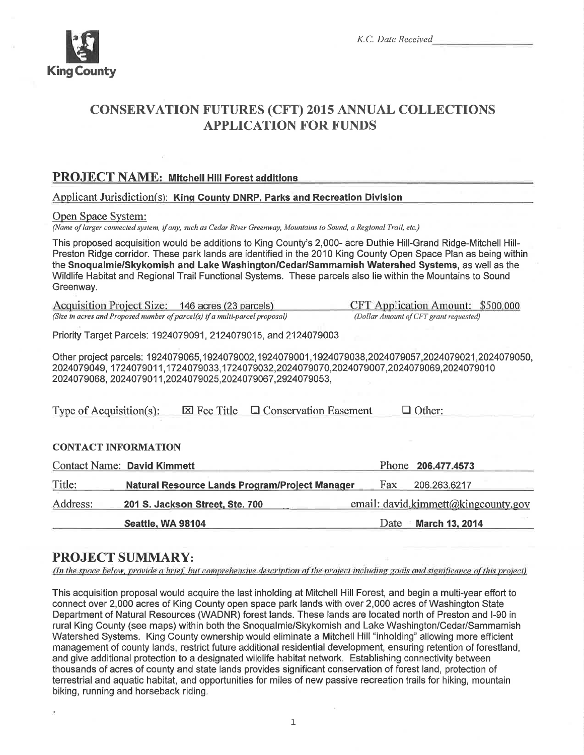

# CONSERVATTON FUTURES (CFT) 201s ANNUAL COLLECTTONS **APPLICATION FOR FUNDS**

## PROJECT NAME: Mitchell Hill Forest additions

Applicant Jurisdiction(s): King County DNRP, Parks and Recreation Division

Open Space System:

(Name of larger connected system, if any, such as Cedar River Greenway, Mountains to Sound, a Regional Trail, etc.)

This proposed acquisition would be additions to King County's 2,000- acre Duthie Hill-Grand Ridge-Mitchell Hill-Preston Ridge corridor. These park lands are identified in the 2010 King County Open Space Plan as being within the Snoqualmie/Skykomish and Lake Washington/Cedar/Sammamish Watershed Systems, as well as the Wildlife Habitat and Regional Trail Functional Systems. These parcels also lie within the Mountains to Sound Greenway.

Acquisition Project Size: 146 acres (23 parcels) CFT Application Amount: \$500,000 (Size in acres and Proposed number of parcel(s) if a multi-parcel proposal) (Dollar Amounl ofCFT grant requested)

Priority Target Parcels: 1924079091, 2124079015, and 2124079003

Other project parcels: 1924079065,1924079002,1924079001,1924079038,2024079057,2024079021,2024079050, 2024079049, 1724079011,1724079033,1724079032,2024079070,2024079007,2024079069,2024079010 202407 9068, 202407 901 1,202407 9025,202407 9067,292407 9053,

Type of Acquisition(s):  $\boxtimes$  Fee Title  $\Box$  Conservation Easement  $\Box$  Other:

## CONTACT INFORMATION

|          | <b>Contact Name: David Kimmett</b>                    |                               |      | Phone 206.477.4573                  |
|----------|-------------------------------------------------------|-------------------------------|------|-------------------------------------|
| Title:   | <b>Natural Resource Lands Program/Project Manager</b> |                               | Fax. | 206.263.6217                        |
| Address: | 201 S. Jackson Street, Ste. 700                       |                               |      | email: david.kimmett@kingcounty.gov |
|          | <b>Seattle, WA 98104</b>                              | <b>March 13, 2014</b><br>Date |      |                                     |

## PROJECT SUMMARY:

(In the space below, provide a brief, but comprehensive description of the project including goals and significance of this project)

This acquisition proposal would acquire the last inholding at Mitchell Hill Forest, and begin a multi-year effort to connect over 2,000 acres of King County open space park lands with over 2,000 acres of Washington State Department of Natural Resources (WADNR) forest lands. These lands are located north of Preston and l-90 in rural King County (see maps) within both the Snoqualmie/Skykomish and Lake Washington/Cedar/Sammamish Watershed Systems. King County ownership would eliminate a Mitchell Hill "inholding" allowing more efficient management of county lands, restrict future additional residential development, ensuring retention of forestland, and give additional protection to a designated wildlife habitat network. Establishing connectivity between thousands of acres of county and state lands provides significant conservation of forest land, protection of terrestrial and aquatic habitat, and opportunities for miles of new passive recreation trails for hiking, mountain biking, running and horseback riding.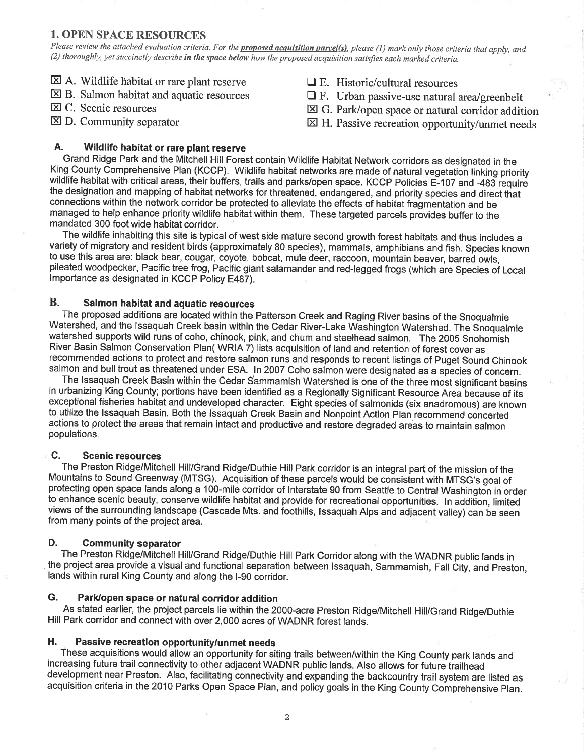## **1. OPEN SPACE RESOURCES**

Please review the attached evaluation criteria. For the *proposed acquisition parcel(s)*, please (1) mark only those criteria that apply, and (2) thoroughly, yet succinctly describe in the space below how the proposed acquisition satisfies each marked criteria.

- $\boxtimes$  A. Wildlife habitat or rare plant reserve
- $\boxtimes$  B. Salmon habitat and aquatic resources
- $\boxtimes$  C. Scenic resources
- $\boxtimes$  D. Community separator
- $\Box$  E. Historic/cultural resources
- $\Box$  F. Urban passive-use natural area/greenbelt
- $\boxtimes$  G. Park/open space or natural corridor addition
- $\boxtimes$  H. Passive recreation opportunity/unmet needs

#### Α. Wildlife habitat or rare plant reserve

Grand Ridge Park and the Mitchell Hill Forest contain Wildlife Habitat Network corridors as designated in the King County Comprehensive Plan (KCCP). Wildlife habitat networks are made of natural vegetation linking priority wildlife habitat with critical areas, their buffers, trails and parks/open space. KCCP Policies E-107 and -483 require the designation and mapping of habitat networks for threatened, endangered, and priority species and direct that connections within the network corridor be protected to alleviate the effects of habitat fragmentation and be managed to help enhance priority wildlife habitat within them. These targeted parcels provides buffer to the mandated 300 foot wide habitat corridor.

The wildlife inhabiting this site is typical of west side mature second growth forest habitats and thus includes a variety of migratory and resident birds (approximately 80 species), mammals, amphibians and fish. Species known to use this area are: black bear, cougar, coyote, bobcat, mule deer, raccoon, mountain beaver, barred owls, pileated woodpecker. Pacific tree frog, Pacific giant salamander and red-legged frogs (which are Species of Local Importance as designated in KCCP Policy E487).

#### $\mathbf{B}$ . Salmon habitat and aquatic resources

The proposed additions are located within the Patterson Creek and Raging River basins of the Snoqualmie Watershed, and the Issaquah Creek basin within the Cedar River-Lake Washington Watershed. The Snoqualmie watershed supports wild runs of coho, chinook, pink, and chum and steelhead salmon. The 2005 Snohomish River Basin Salmon Conservation Plan( WRIA 7) lists acquisition of land and retention of forest cover as recommended actions to protect and restore salmon runs and responds to recent listings of Puget Sound Chinook salmon and bull trout as threatened under ESA. In 2007 Coho salmon were designated as a species of concern.

The Issaquah Creek Basin within the Cedar Sammamish Watershed is one of the three most significant basins in urbanizing King County; portions have been identified as a Regionally Significant Resource Area because of its exceptional fisheries habitat and undeveloped character. Eight species of salmonids (six anadromous) are known to utilize the Issaquah Basin. Both the Issaquah Creek Basin and Nonpoint Action Plan recommend concerted actions to protect the areas that remain intact and productive and restore degraded areas to maintain salmon populations.

#### C. **Scenic resources**

The Preston Ridge/Mitchell Hill/Grand Ridge/Duthie Hill Park corridor is an integral part of the mission of the Mountains to Sound Greenway (MTSG). Acquisition of these parcels would be consistent with MTSG's goal of protecting open space lands along a 100-mile corridor of Interstate 90 from Seattle to Central Washington in order to enhance scenic beauty, conserve wildlife habitat and provide for recreational opportunities. In addition, limited views of the surrounding landscape (Cascade Mts. and foothills, Issaquah Alps and adjacent valley) can be seen from many points of the project area.

#### D. **Community separator**

The Preston Ridge/Mitchell Hill/Grand Ridge/Duthie Hill Park Corridor along with the WADNR public lands in the project area provide a visual and functional separation between Issaquah, Sammamish, Fall City, and Preston, lands within rural King County and along the I-90 corridor.

#### G. Park/open space or natural corridor addition

As stated earlier, the project parcels lie within the 2000-acre Preston Ridge/Mitchell Hill/Grand Ridge/Duthie Hill Park corridor and connect with over 2,000 acres of WADNR forest lands.

#### Η. Passive recreation opportunity/unmet needs

These acquisitions would allow an opportunity for siting trails between/within the King County park lands and increasing future trail connectivity to other adiacent WADNR public lands. Also allows for future trailhead development near Preston. Also, facilitating connectivity and expanding the backcountry trail system are listed as acquisition criteria in the 2010 Parks Open Space Plan, and policy goals in the King County Comprehensive Plan.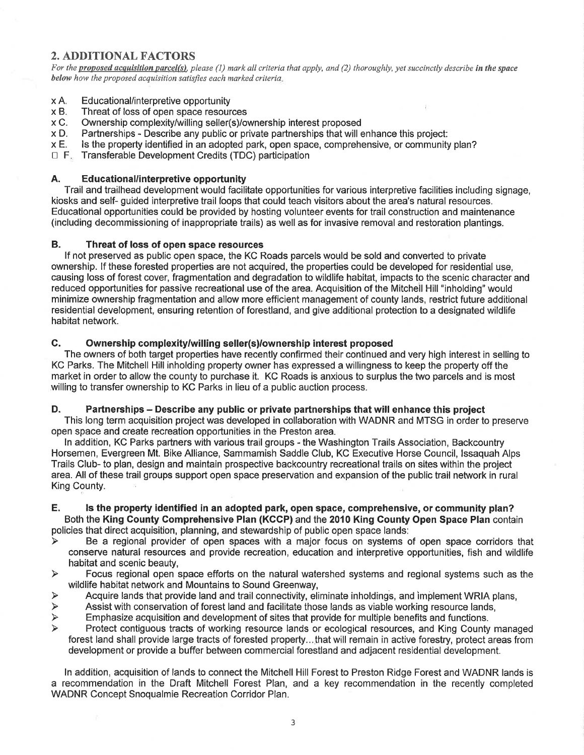## **2. ADDITIONAL FACTORS**

For the proposed acquisition parcel(s), please (1) mark all criteria that apply, and (2) thoroughly, yet succinctly describe in the space below how the proposed acquisition satisfies each marked criteria.

- Educational/interpretive opportunity  $\times A$ .
- xB. Threat of loss of open space resources
- Ownership complexity/willing seller(s)/ownership interest proposed xC.
- Partnerships Describe any public or private partnerships that will enhance this project:  $\times D$ .
- Is the property identified in an adopted park, open space, comprehensive, or community plan?  $x E.$
- □ F. Transferable Development Credits (TDC) participation

#### Α. Educational/interpretive opportunity

Trail and trailhead development would facilitate opportunities for various interpretive facilities including signage. kiosks and self- guided interpretive trail loops that could teach visitors about the area's natural resources. Educational opportunities could be provided by hosting volunteer events for trail construction and maintenance (including decommissioning of inappropriate trails) as well as for invasive removal and restoration plantings.

#### **B.** Threat of loss of open space resources

If not preserved as public open space, the KC Roads parcels would be sold and converted to private ownership. If these forested properties are not acquired, the properties could be developed for residential use. causing loss of forest cover, fragmentation and degradation to wildlife habitat, impacts to the scenic character and reduced opportunities for passive recreational use of the area. Acquisition of the Mitchell Hill "inholding" would minimize ownership fragmentation and allow more efficient management of county lands, restrict future additional residential development, ensuring retention of forestland, and give additional protection to a designated wildlife habitat network.

#### C. Ownership complexity/willing seller(s)/ownership interest proposed

The owners of both target properties have recently confirmed their continued and very high interest in selling to KC Parks. The Mitchell Hill inholding property owner has expressed a willingness to keep the property off the market in order to allow the county to purchase it. KC Roads is anxious to surplus the two parcels and is most willing to transfer ownership to KC Parks in lieu of a public auction process.

#### D. Partnerships – Describe any public or private partnerships that will enhance this project

This long term acquisition project was developed in collaboration with WADNR and MTSG in order to preserve open space and create recreation opportunities in the Preston area.

In addition, KC Parks partners with various trail groups - the Washington Trails Association, Backcountry Horsemen, Evergreen Mt. Bike Alliance, Sammamish Saddle Club, KC Executive Horse Council, Issaguah Alps Trails Club- to plan, design and maintain prospective backcountry recreational trails on sites within the project area. All of these trail groups support open space preservation and expansion of the public trail network in rural King County.

#### Е. Is the property identified in an adopted park, open space, comprehensive, or community plan? Both the King County Comprehensive Plan (KCCP) and the 2010 King County Open Space Plan contain

policies that direct acquisition, planning, and stewardship of public open space lands:

- Be a regional provider of open spaces with a major focus on systems of open space corridors that  $\blacktriangleright$ conserve natural resources and provide recreation, education and interpretive opportunities, fish and wildlife habitat and scenic beauty.
- Focus regional open space efforts on the natural watershed systems and regional systems such as the  $\blacktriangleright$ wildlife habitat network and Mountains to Sound Greenway.
- Acquire lands that provide land and trail connectivity, eliminate inholdings, and implement WRIA plans, ↘
- Assist with conservation of forest land and facilitate those lands as viable working resource lands.  $\blacktriangleright$
- $\blacktriangleright$ Emphasize acquisition and development of sites that provide for multiple benefits and functions.
- $\blacktriangleright$ Protect contiguous tracts of working resource lands or ecological resources, and King County managed forest land shall provide large tracts of forested property...that will remain in active forestry, protect areas from development or provide a buffer between commercial forestland and adjacent residential development.

In addition, acquisition of lands to connect the Mitchell Hill Forest to Preston Ridge Forest and WADNR lands is a recommendation in the Draft Mitchell Forest Plan, and a key recommendation in the recently completed WADNR Concept Snoqualmie Recreation Corridor Plan.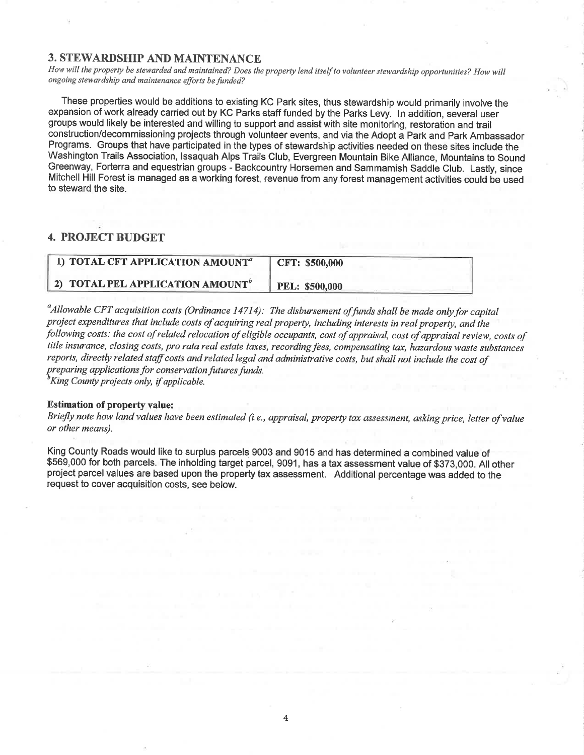### **3. STEWARDSHIP AND MAINTENANCE**

How will the property be stewarded and maintained? Does the property lend itself to volunteer stewardship opportunities? How will ongoíng stewardship and maíntenance efforts be funded?

These properties would be additions to existing KC Park sites, thus stewardship would primarily involve the expansion of work already carried out by KC Parks staff funded by the Parks Levy. ln addition, several user groups would likely be interested and willing to support and assist with site monitoring, restoration and trail construction/decommissioning projects through volunteer events, and via the Adopt a Park and Park Ambassador Programs. Groups that have participated in the types of stewardship activities needed on these sites include the Washington Trails Association, lssaquah Alps Trails Club, Evergreen Mountain Bike Alliance, Mountains to Sound Greenway, Forterra and equestrian groups - Backcountry Horsemen and Sammamish Saddle Club. Lasfly, since Mitchell Hill Forest is managed as a working forest, revenue from any forest management activities could be used to steward the site.

## 4. PROJECT BUDGET

| 1) TOTAL CFT APPLICATION AMOUNT <sup><math>a</math></sup> | CFT: \$500,000        |
|-----------------------------------------------------------|-----------------------|
| 2) TOTAL PEL APPLICATION AMOUNT <sup>b</sup>              | <b>PEL: \$500,000</b> |

 $^a$ Allowable CFT acquisition costs (Ordinance 14714): The disbursement of funds shall be made only for capital project expenditures that include costs of acquiring real property, including interests in real property, and the following costs: the cost of related relocation of eligible occupants, cost of appraisal, cost of appraisal review, costs of title insurance, closing costs, pro rata real estate taxes, recording fees, compensating tax, hazardous waste substances reports, directly related staff costs and related legal and administrative costs, but shall not include the cost of preparing applications for conservation futures funds.<br><sup>b</sup>King County projects only, if applicable.

### Estimation of property value:

Briefly note how land values have been estimated (i.e., appraisal, property tax assessment, asking price, letter of value or other means).

King County Roads would like to surplus parcels 9003 and 9015 and has determined a combined value of \$569,000 for both parcels. The inholding target parcel, 9091, has a tax assessment value of \$373,000. All other project parcel values are based upon the property tax assessment. Additional percentage was added to the request to cover acquisition costs, see below.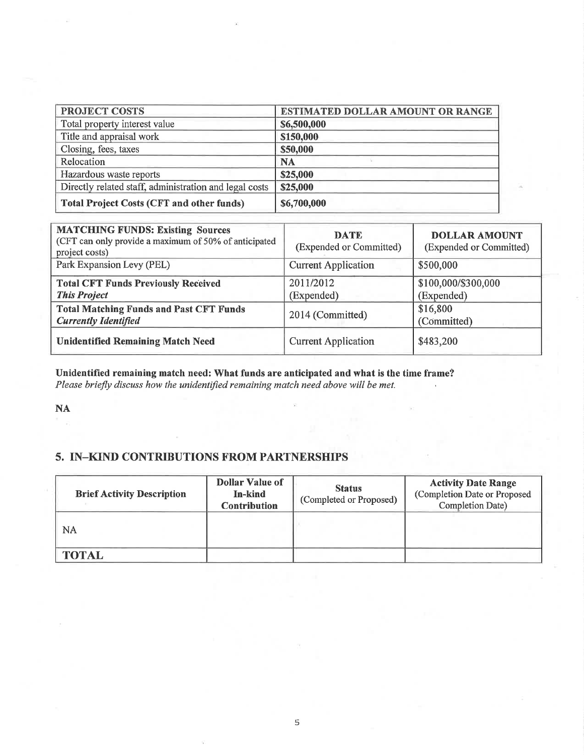| <b>PROJECT COSTS</b>                                   | ESTIMATED DOLLAR AMOUNT OR RANGE |  |  |
|--------------------------------------------------------|----------------------------------|--|--|
| Total property interest value                          | \$6,500,000                      |  |  |
| Title and appraisal work                               | \$150,000                        |  |  |
| Closing, fees, taxes                                   | \$50,000                         |  |  |
| Relocation                                             | <b>NA</b>                        |  |  |
| Hazardous waste reports                                | \$25,000                         |  |  |
| Directly related staff, administration and legal costs | \$25,000                         |  |  |
| <b>Total Project Costs (CFT and other funds)</b>       | \$6,700,000                      |  |  |

| <b>MATCHING FUNDS: Existing Sources</b><br>(CFT can only provide a maximum of 50% of anticipated<br>project costs) | <b>DATE</b><br>(Expended or Committed) | <b>DOLLAR AMOUNT</b><br>(Expended or Committed) |
|--------------------------------------------------------------------------------------------------------------------|----------------------------------------|-------------------------------------------------|
| Park Expansion Levy (PEL)                                                                                          | <b>Current Application</b>             | \$500,000                                       |
| <b>Total CFT Funds Previously Received</b><br><b>This Project</b>                                                  | 2011/2012<br>(Expended)                | \$100,000/\$300,000<br>(Expended)               |
| <b>Total Matching Funds and Past CFT Funds</b><br><b>Currently Identified</b>                                      | 2014 (Committed)                       | \$16,800<br>(Committed)                         |
| <b>Unidentified Remaining Match Need</b>                                                                           | <b>Current Application</b>             | \$483,200                                       |

Unidentified remaining match need: What funds are anticipated and what is the time frame? Please briefly discuss how the unidentified remaining match need above will be met.

## NA

## 5. IN-KIND CONTRIBUTIONS FROM PARTNERSHIPS

| <b>Brief Activity Description</b> | <b>Dollar Value of</b><br>In-kind<br><b>Contribution</b> | <b>Status</b><br>(Completed or Proposed) | <b>Activity Date Range</b><br>(Completion Date or Proposed<br><b>Completion Date)</b> |
|-----------------------------------|----------------------------------------------------------|------------------------------------------|---------------------------------------------------------------------------------------|
| NA                                |                                                          |                                          |                                                                                       |
| <b>TOTAL</b>                      |                                                          |                                          |                                                                                       |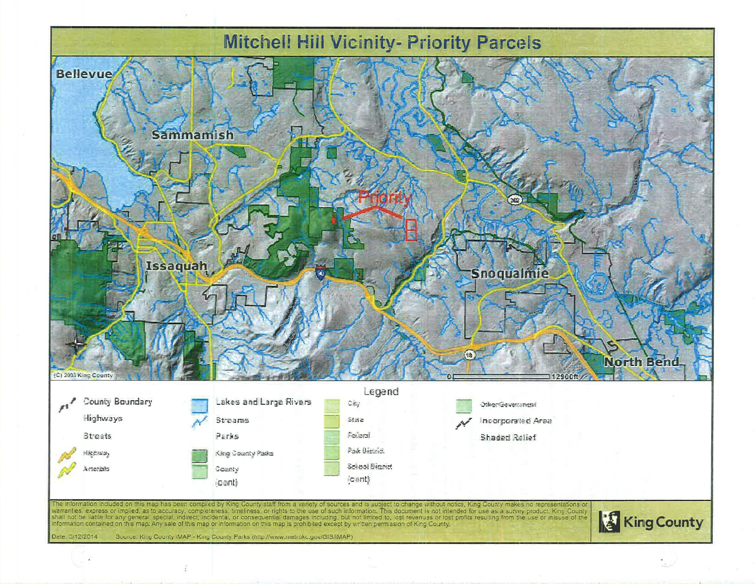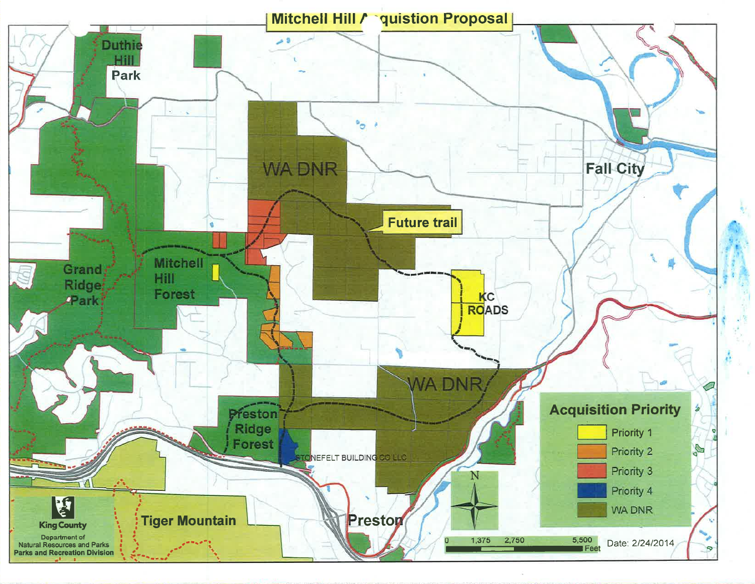